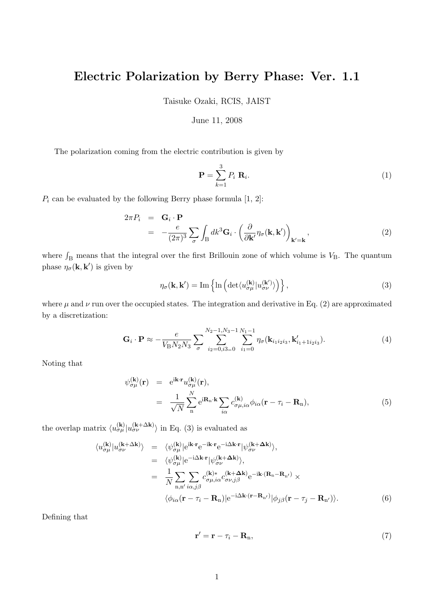## **Electric Polarization by Berry Phase: Ver. 1.1**

Taisuke Ozaki, RCIS, JAIST

## June 11, 2008

The polarization coming from the electric contribution is given by

$$
\mathbf{P} = \sum_{k=1}^{3} P_i \mathbf{R}_i.
$$
 (1)

 $P_i$  can be evaluated by the following Berry phase formula  $[1, 2]$ :

$$
2\pi P_i = \mathbf{G}_i \cdot \mathbf{P}
$$
  
= 
$$
-\frac{e}{(2\pi)^3} \sum_{\sigma} \int_{\mathbf{B}} dk^3 \mathbf{G}_i \cdot \left(\frac{\partial}{\partial \mathbf{k}'} \eta_{\sigma}(\mathbf{k}, \mathbf{k}')\right)_{\mathbf{k}' = \mathbf{k}},
$$
 (2)

where  $\int_B$  means that the integral over the first Brillouin zone of which volume is  $V_B$ . The quantum phase  $\eta_{\sigma}(\mathbf{k}, \mathbf{k}')$  is given by

$$
\eta_{\sigma}(\mathbf{k}, \mathbf{k}') = \text{Im}\left\{\ln\left(\det\langle u_{\sigma\mu}^{(\mathbf{k})} | u_{\sigma\nu}^{(\mathbf{k}')}\rangle\right)\right\},\tag{3}
$$

where  $\mu$  and  $\nu$  run over the occupied states. The integration and derivative in Eq. (2) are approximated by a discretization:

$$
\mathbf{G}_{i} \cdot \mathbf{P} \approx -\frac{e}{V_{\rm B} N_{2} N_{3}} \sum_{\sigma} \sum_{i_{2}=0, i_{3}=0}^{N_{2}-1, N_{3}-1} \sum_{i_{1}=0}^{N_{1}-1} \eta_{\sigma}(\mathbf{k}_{i_{1} i_{2} i_{3}}, \mathbf{k}'_{i_{1}+1 i_{2} i_{3}}). \tag{4}
$$

Noting that

$$
\psi_{\sigma\mu}^{(\mathbf{k})}(\mathbf{r}) = e^{i\mathbf{k}\cdot\mathbf{r}} u_{\sigma\mu}^{(\mathbf{k})}(\mathbf{r}),
$$
  
\n
$$
= \frac{1}{\sqrt{N}} \sum_{n}^{N} e^{i\mathbf{R}_{n}\cdot\mathbf{k}} \sum_{i\alpha} c_{\sigma\mu,i\alpha}^{(\mathbf{k})} \phi_{i\alpha}(\mathbf{r} - \tau_{i} - \mathbf{R}_{n}),
$$
\n(5)

the overlap matrix  $\langle u_{\sigma\mu}^{(\mathbf{k})} | u_{\sigma\nu}^{(\mathbf{k}+\Delta\mathbf{k})} \rangle$  in Eq. (3) is evaluated as

$$
\langle u_{\sigma\mu}^{(\mathbf{k})} | u_{\sigma\nu}^{(\mathbf{k}+\Delta\mathbf{k})} \rangle = \langle \psi_{\sigma\mu}^{(\mathbf{k})} | e^{i\mathbf{k} \cdot \mathbf{r}} e^{-i\mathbf{k} \cdot \mathbf{r}} e^{-i\Delta\mathbf{k} \cdot \mathbf{r}} | \psi_{\sigma\nu}^{(\mathbf{k}+\Delta\mathbf{k})} \rangle, \n= \langle \psi_{\sigma\mu}^{(\mathbf{k})} | e^{-i\Delta\mathbf{k} \cdot \mathbf{r}} | \psi_{\sigma\nu}^{(\mathbf{k}+\Delta\mathbf{k})} \rangle, \n= \frac{1}{N} \sum_{\mathbf{n},\mathbf{n'} \, i\alpha,j\beta} c_{\sigma\mu,i\alpha}^{(\mathbf{k})*} c_{\sigma\nu,j\beta}^{(\mathbf{k}+\Delta\mathbf{k})} e^{-i\mathbf{k} \cdot (\mathbf{R}_{\mathbf{n}}-\mathbf{R}_{\mathbf{n}'})} \times \n\langle \phi_{i\alpha} (\mathbf{r} - \tau_i - \mathbf{R}_{\mathbf{n}}) | e^{-i\Delta\mathbf{k} \cdot (\mathbf{r}-\mathbf{R}_{\mathbf{n}'})} | \phi_{j\beta} (\mathbf{r} - \tau_j - \mathbf{R}_{\mathbf{n}'} ) \rangle.
$$
\n(6)

Defining that

$$
\mathbf{r}' = \mathbf{r} - \tau_i - \mathbf{R}_n,\tag{7}
$$